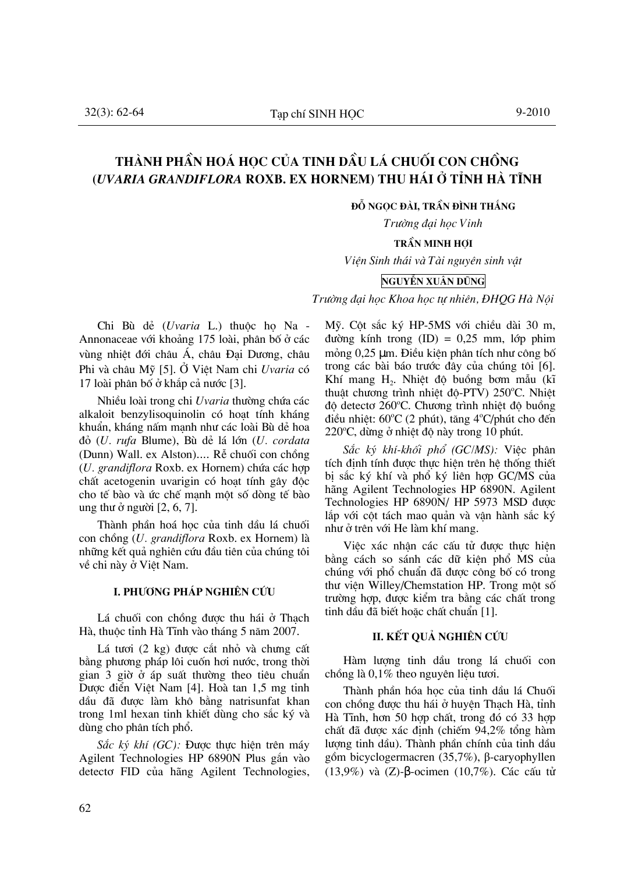# THÀNH PHẦN HOÁ HOC CỦA TINH DẦU LÁ CHUỐI CON CHỒNG (UVARIA GRANDIFLORA ROXB. EX HORNEM) THU HÁI Ở TỈNH HÀ TĨNH

ĐỒ NGOC ĐÀI. TRẦN ĐÌNH THẮNG

Trường đại học Vinh

### **TRẦN MINH HỢI**

Viên Sinh thái và Tài nguyên sinh vật

### NGUYỄN XUÂN DŨNG

Trường đại học Khoa học tự nhiên, ĐHQG Hà Nội

Chi Bù dẻ (Uvaria L.) thuộc ho Na -Annonaceae với khoảng 175 loài, phân bố ở các vùng nhiệt đới châu Á, châu Đại Dương, châu Phi và châu Mỹ [5]. Ở Việt Nam chi Uvaria có 17 loài phân bố ở khắp cả nước [3].

Nhiều loài trong chi Uvaria thường chứa các alkaloit benzylisoquinolin có hoat tính kháng khuẩn, kháng nấm mạnh như các loài Bù dẻ hoa đỏ (U. rufa Blume), Bù dẻ lá lớn (U. cordata (Dunn) Wall. ex Alston).... Rễ chuối con chồng (U. grandiflora Roxb. ex Hornem) chứa các hợp chất acetogenin uvarigin có hoạt tính gây độc cho tế bào và ức chế manh một số dòng tế bào ung thư ở người  $[2, 6, 7]$ .

Thành phần hoá học của tinh dầu lá chuối con chồng (U. grandiflora Roxb. ex Hornem) là những kết quả nghiên cứu đầu tiên của chúng tôi về chi này ở Việt Nam.

### L PHƯƠNG PHÁP NGHIÊN CỨU

Lá chuối con chồng được thu hái ở Thach Hà, thuộc tỉnh Hà Tĩnh vào tháng 5 năm 2007.

Lá tươi (2 kg) được cắt nhỏ và chưng cất bằng phương pháp lôi cuốn hơi nước, trong thời gian 3 giờ ở áp suất thường theo tiêu chuẩn Dược điển Việt Nam [4]. Hoà tan 1,5 mg tinh dầu đã được làm khô bằng natrisunfat khan trong 1ml hexan tinh khiết dùng cho sắc ký và dùng cho phân tích phố.

Sắc ký khí (GC): Được thực hiên trên máy Agilent Technologies HP 6890N Plus gắn vào detecto FID của hãng Agilent Technologies, Mỹ. Cột sắc ký HP-5MS với chiều dài 30 m, đường kính trong  $(ID) = 0.25$  mm, lớp phim mỏng 0,25 µm. Điều kiện phân tích như công bố trong các bài báo trước đây của chúng tôi [6]. Khí mang H<sub>2</sub>. Nhiệt độ buồng bơm mẫu (kĩ thuật chương trình nhiệt độ-PTV) 250°C. Nhiệt độ detecto 260°C. Chương trình nhiệt độ buồng điều nhiệt: 60°C (2 phút), tăng 4°C/phút cho đến 220°C, dừng ở nhiệt độ này trong 10 phút.

Sắc ký khí-khối phổ (GC/MS): Việc phân tích đỉnh tính được thực hiện trên hệ thống thiết bi sắc ký khí và phổ ký liên hợp GC/MS của hãng Agilent Technologies HP 6890N. Agilent Technologies HP 6890N/ HP 5973 MSD được lắp với cột tách mao quản và vận hành sắc ký như ở trên với He làm khí mang.

Việc xác nhân các cấu tử được thực hiện bằng cách so sánh các dữ kiện phổ MS của chúng với phổ chuẩn đã được công bố có trong thư viện Willey/Chemstation HP. Trong một số trường hợp, được kiểm tra bằng các chất trong tinh dầu đã biết hoặc chất chuẩn [1].

### II. KẾT QUẢ NGHIÊN CỨU

Hàm lượng tinh dầu trong lá chuối con chồng là 0,1% theo nguyên liêu tươi.

Thành phần hóa học của tinh dầu lá Chuối con chồng được thu hái ở huyện Thạch Hà, tỉnh Hà Tĩnh, hơn 50 hợp chất, trong đó có 33 hợp chất đã được xác đỉnh (chiếm 94,2% tổng hàm lương tinh dầu). Thành phần chính của tinh dầu gồm bicyclogermacren (35,7%), β-caryophyllen  $(13,9%)$  và (Z)-β-ocimen  $(10,7%)$ . Các cấu tử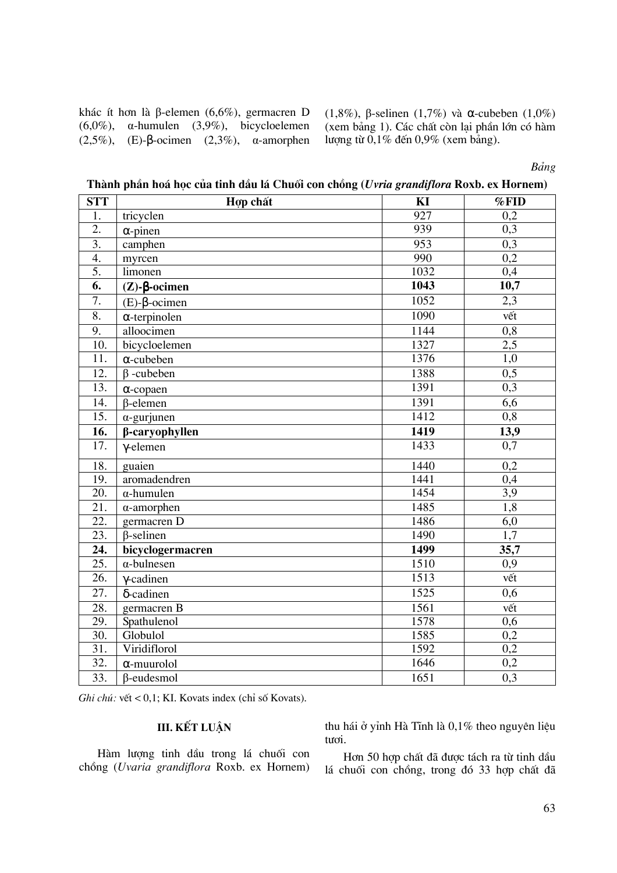khác ít hơn là  $\beta$ -elemen (6,6%), germacren D  $(6.0\%)$ ,  $\alpha$ -humulen  $(3.9\%)$ , bicycloelemen  $(2,5\%)$ ,  $(E)$ - $\beta$ -ocimen  $(2,3\%)$ ,  $\alpha$ -amorphen

 $(1,8\%)$ , β-selinen  $(1,7\%)$  và α-cubeben  $(1,0\%)$ (xem bảng 1). Các chất còn lại phần lớn có hàm lượng từ  $0.1\%$  đến  $0.9\%$  (xem bảng).

Bảng

Thành phần hoá học của tinh dầu lá Chuối con chồng (Uvria grandiflora Roxb. ex Hornem)

| <b>STT</b>        | Hợp chất                    | KI   | %FID              |
|-------------------|-----------------------------|------|-------------------|
| 1.                | tricyclen                   | 927  | 0,2               |
| $\overline{2}$ .  | $\alpha$ -pinen             | 939  | 0,3               |
| $\overline{3}$ .  | camphen                     | 953  | 0,3               |
| 4.                | myrcen                      | 990  | 0,2               |
| 5.                | limonen                     | 1032 | 0,4               |
| $\overline{6}$ .  | $(Z)$ - $\beta$ -ocimen     | 1043 | $\overline{10,7}$ |
| 7.                | $(E)$ - $\beta$ -ocimen     | 1052 | 2,3               |
| 8.                | $\alpha$ -terpinolen        | 1090 | vết               |
| 9.                | alloocimen                  | 1144 | $\overline{0,8}$  |
| 10.               | bicycloelemen               | 1327 | $\overline{2,5}$  |
| $\overline{11}$ . | $\alpha$ -cubeben           | 1376 | 1,0               |
| 12.               | $\beta$ -cubeben            | 1388 | 0,5               |
| 13.               | $\alpha$ -copaen            | 1391 | 0,3               |
| 14.               | $\beta$ -elemen             | 1391 | 6,6               |
| $\overline{15}$ . | $\alpha$ -gurjunen          | 1412 | 0,8               |
| 16.               | β-caryophyllen              | 1419 | 13,9              |
| 17.               | $\gamma$ -elemen            | 1433 | 0,7               |
| 18.               | guaien                      | 1440 | 0,2               |
| 19.               | aromadendren                | 1441 | 0,4               |
| 20.               | $\alpha$ -humulen           | 1454 | 3,9               |
| 21.               | $\alpha$ -amorphen          | 1485 | $\overline{1,8}$  |
| 22.               | germacren D                 | 1486 | 6,0               |
| 23.               | $\overline{\beta}$ -selinen | 1490 | 1,7               |
| 24.               | bicyclogermacren            | 1499 | 35,7              |
| $\overline{25}$ . | $\alpha$ -bulnesen          | 1510 | 0,9               |
| $\overline{26}$ . | $\gamma$ -cadinen           | 1513 | vết               |
| $\overline{27}$ . | δ-cadinen                   | 1525 | 0,6               |
| 28.               | germacren B                 | 1561 | vết               |
| 29.               | Spathulenol                 | 1578 | $\overline{0,6}$  |
| $\overline{30}$ . | Globulol                    | 1585 | 0,2               |
| $\overline{31}$ . | Viridiflorol                | 1592 | 0,2               |
| $\overline{32}$ . | $\alpha$ -muurolol          | 1646 | 0,2               |
| $\overline{33}$ . | $\beta$ -eudesmol           | 1651 | 0,3               |

Ghi chú: vết < 0,1; KI. Kovats index (chỉ số Kovats).

## III. KẾT LUẬN

Hàm lượng tinh dầu trong lá chuối con chồng (Uvaria grandiflora Roxb. ex Hornem) thu hái ở yỉnh Hà Tĩnh là 0,1% theo nguyên liệu tươi.

Hơn 50 hợp chất đã được tách ra từ tinh dầu lá chuối con chồng, trong đó 33 hợp chất đã